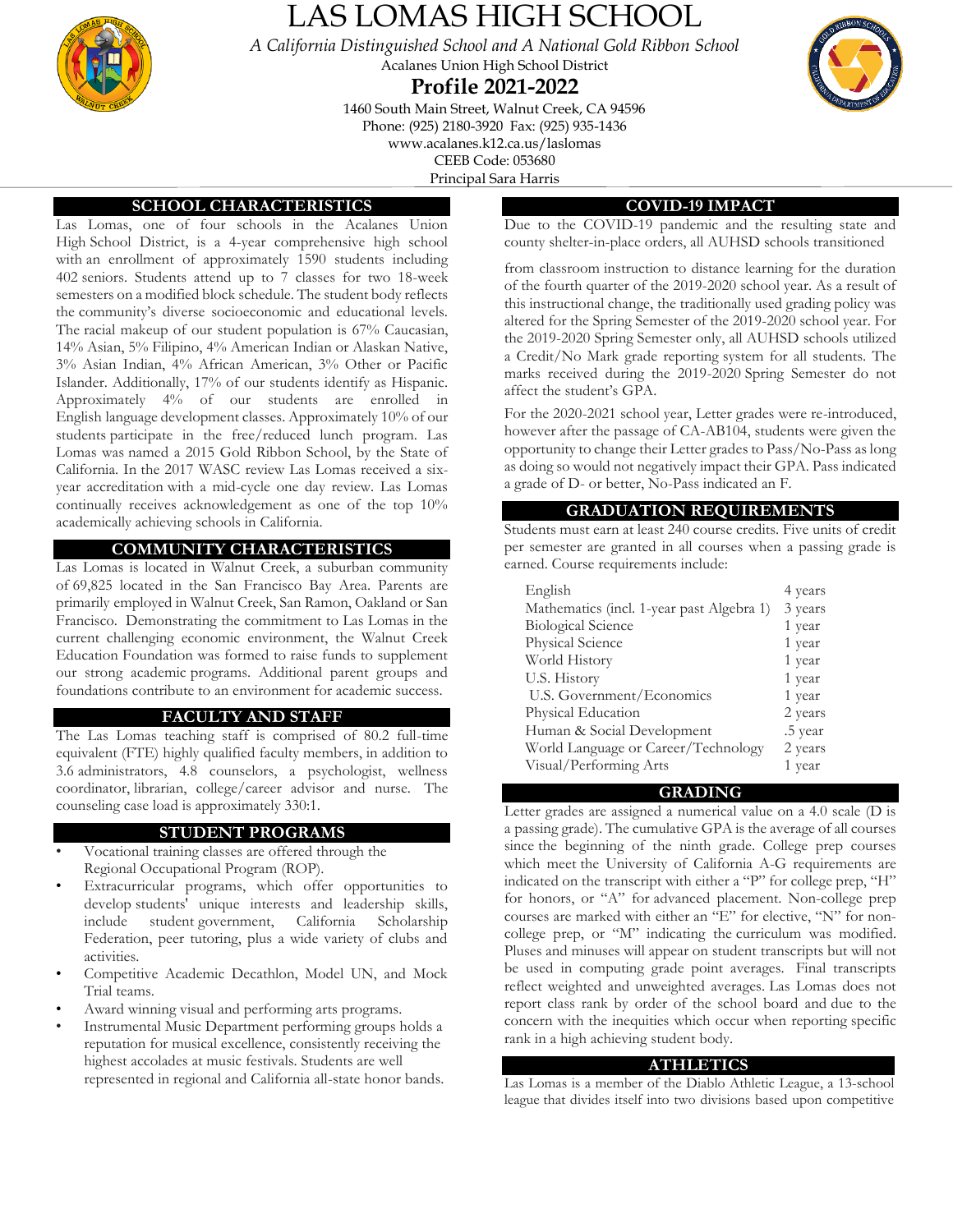

# LAS LOMAS HIGH SCHOOL

*A California Distinguished School and A National Gold Ribbon School* Acalanes Union High School District

## **Profile 2021-2022**

1460 South Main Street, Walnut Creek, CA 94596 Phone: (925) 2180-3920 Fax: (925) 935-1436

www.acalanes.k12.ca.us/laslomas

CEEB Code: 053680

Principal Sara Harris

## **SCHOOL CHARACTERISTICS**

Las Lomas, one of four schools in the Acalanes Union High School District, is a 4-year comprehensive high school with an enrollment of approximately 1590 students including 402 seniors. Students attend up to 7 classes for two 18-week semesters on a modified block schedule. The student body reflects the community's diverse socioeconomic and educational levels. The racial makeup of our student population is 67% Caucasian, 14% Asian, 5% Filipino, 4% American Indian or Alaskan Native, 3% Asian Indian, 4% African American, 3% Other or Pacific Islander. Additionally, 17% of our students identify as Hispanic. Approximately 4% of our students are enrolled in English language development classes. Approximately 10% of our students participate in the free/reduced lunch program. Las Lomas was named a 2015 Gold Ribbon School, by the State of California. In the 2017 WASC review Las Lomas received a sixyear accreditation with a mid-cycle one day review. Las Lomas continually receives acknowledgement as one of the top 10% academically achieving schools in California.

### **COMMUNITY CHARACTERISTICS**

Las Lomas is located in Walnut Creek, a suburban community of 69,825 located in the San Francisco Bay Area. Parents are primarily employed in Walnut Creek, San Ramon, Oakland or San Francisco. Demonstrating the commitment to Las Lomas in the current challenging economic environment, the Walnut Creek Education Foundation was formed to raise funds to supplement our strong academic programs. Additional parent groups and foundations contribute to an environment for academic success.

#### **FACULTY AND STAFF**

The Las Lomas teaching staff is comprised of 80.2 full-time equivalent (FTE) highly qualified faculty members, in addition to 3.6 administrators, 4.8 counselors, a psychologist, wellness coordinator, librarian, college/career advisor and nurse. The counseling case load is approximately 330:1.

#### **STUDENT PROGRAMS**

- Vocational training classes are offered through the Regional Occupational Program (ROP).
- Extracurricular programs, which offer opportunities to develop students' unique interests and leadership skills, include student government, California Scholarship Federation, peer tutoring, plus a wide variety of clubs and activities.
- Competitive Academic Decathlon, Model UN, and Mock Trial teams.
- Award winning visual and performing arts programs.
- Instrumental Music Department performing groups holds a reputation for musical excellence, consistently receiving the highest accolades at music festivals. Students are well represented in regional and California all-state honor bands.

## **COVID-19 IMPACT**

Due to the COVID-19 pandemic and the resulting state and county shelter-in-place orders, all AUHSD schools transitioned

from classroom instruction to distance learning for the duration of the fourth quarter of the 2019-2020 school year. As a result of this instructional change, the traditionally used grading policy was altered for the Spring Semester of the 2019-2020 school year. For the 2019-2020 Spring Semester only, all AUHSD schools utilized a Credit/No Mark grade reporting system for all students. The marks received during the 2019-2020 Spring Semester do not affect the student's GPA.

For the 2020-2021 school year, Letter grades were re-introduced, however after the passage of CA-AB104, students were given the opportunity to change their Letter grades to Pass/No-Pass as long as doing so would not negatively impact their GPA. Pass indicated a grade of D- or better, No-Pass indicated an F.

#### **GRADUATION REQUIREMENTS**

Students must earn at least 240 course credits. Five units of credit per semester are granted in all courses when a passing grade is earned. Course requirements include:

| English                                   | 4 years |
|-------------------------------------------|---------|
| Mathematics (incl. 1-year past Algebra 1) | 3 years |
| <b>Biological Science</b>                 | 1 year  |
| Physical Science                          | 1 year  |
| World History                             | 1 year  |
| U.S. History                              | 1 year  |
| U.S. Government/Economics                 | 1 year  |
| Physical Education                        | 2 years |
| Human & Social Development                | .5 year |
| World Language or Career/Technology       | 2 years |
| Visual/Performing Arts                    | 1 year  |

#### **GRADING**

Letter grades are assigned a numerical value on a 4.0 scale (D is a passing grade). The cumulative GPA is the average of all courses since the beginning of the ninth grade. College prep courses which meet the University of California A-G requirements are indicated on the transcript with either a "P" for college prep, "H" for honors, or "A" for advanced placement. Non-college prep courses are marked with either an "E" for elective, "N" for noncollege prep, or "M" indicating the curriculum was modified. Pluses and minuses will appear on student transcripts but will not be used in computing grade point averages. Final transcripts reflect weighted and unweighted averages. Las Lomas does not report class rank by order of the school board and due to the concern with the inequities which occur when reporting specific rank in a high achieving student body.

#### **ATHLETICS**

Las Lomas is a member of the Diablo Athletic League, a 13-school league that divides itself into two divisions based upon competitive